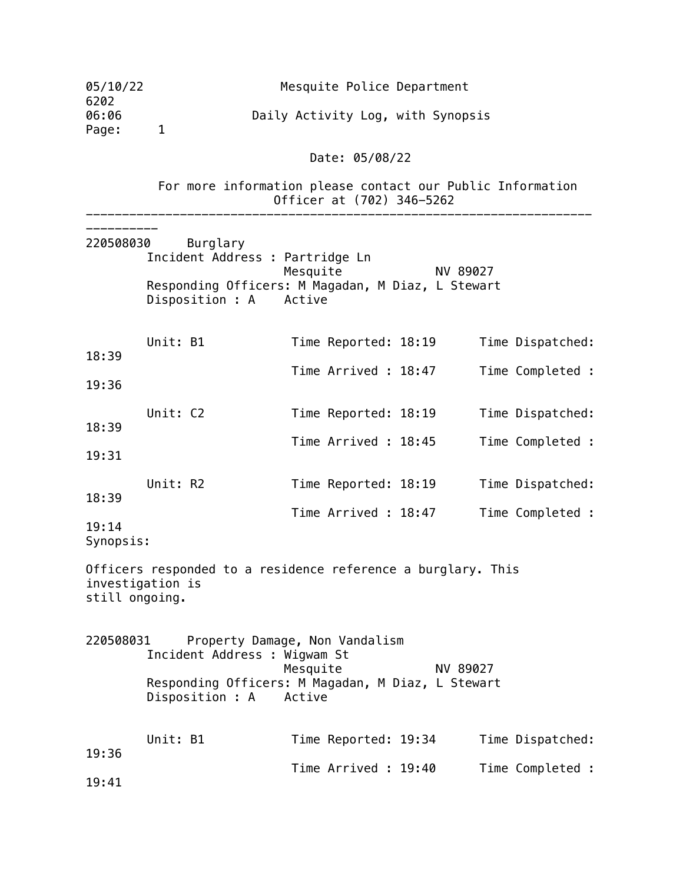| 05/10/22<br>6202                   |              | Mesquite Police Department                                                                                                                                |          |                  |
|------------------------------------|--------------|-----------------------------------------------------------------------------------------------------------------------------------------------------------|----------|------------------|
| 06:06<br>Page:                     | $\mathbf{1}$ | Daily Activity Log, with Synopsis                                                                                                                         |          |                  |
|                                    |              | Date: 05/08/22                                                                                                                                            |          |                  |
|                                    |              | For more information please contact our Public Information<br>Officer at (702) 346-5262                                                                   |          |                  |
| 220508030                          | Burglary     | Incident Address : Partridge Ln<br>Mesquite<br>Responding Officers: M Magadan, M Diaz, L Stewart<br>Disposition : A Active                                | NV 89027 |                  |
| 18:39                              | Unit: B1     | Time Reported: 18:19                                                                                                                                      |          | Time Dispatched: |
| 19:36                              |              | Time Arrived: 18:47                                                                                                                                       |          | Time Completed : |
| 18:39                              | Unit: C2     | Time Reported: 18:19                                                                                                                                      |          | Time Dispatched: |
| 19:31                              |              | Time Arrived: 18:45                                                                                                                                       |          | Time Completed : |
| 18:39                              | Unit: R2     | Time Reported: 18:19                                                                                                                                      |          | Time Dispatched: |
| 19:14<br>Synopsis:                 |              | Time Arrived : 18:47                                                                                                                                      |          | Time Completed : |
| investigation is<br>still ongoing. |              | Officers responded to a residence reference a burglary. This                                                                                              |          |                  |
| 220508031                          |              | Property Damage, Non Vandalism<br>Incident Address : Wigwam St<br>Mesquite<br>Responding Officers: M Magadan, M Diaz, L Stewart<br>Disposition : A Active | NV 89027 |                  |
| 19:36                              | Unit: B1     | Time Reported: 19:34                                                                                                                                      |          | Time Dispatched: |
| 19:41                              |              | Time Arrived: 19:40                                                                                                                                       |          | Time Completed : |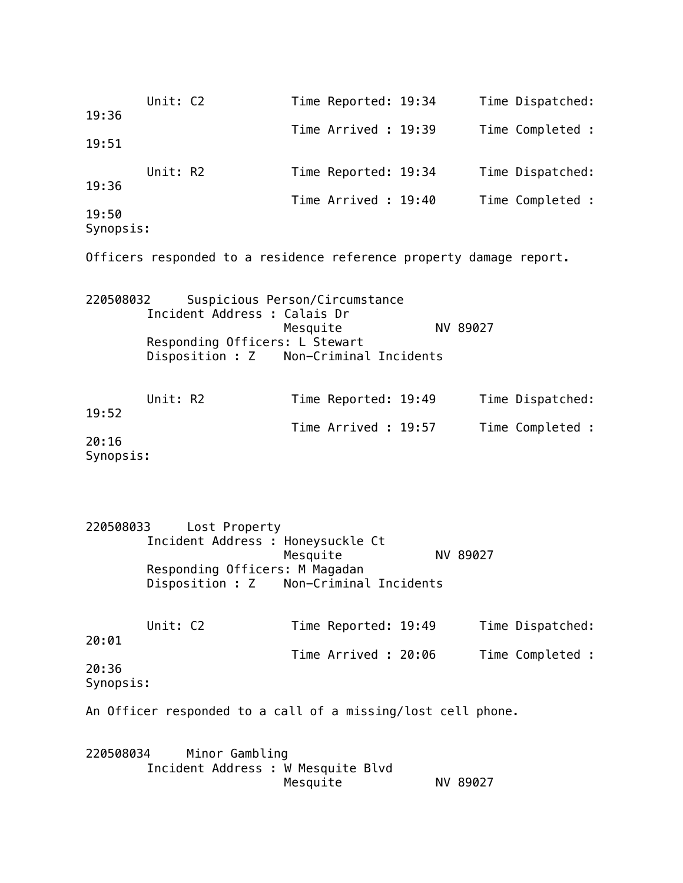| 19:36     | Unit: C2                                                            | Time Reported: 19:34           |          | Time Dispatched: |
|-----------|---------------------------------------------------------------------|--------------------------------|----------|------------------|
| 19:51     |                                                                     | Time Arrived : 19:39           |          | Time Completed : |
|           |                                                                     |                                |          |                  |
| 19:36     | Unit: R2                                                            | Time Reported: 19:34           |          | Time Dispatched: |
| 19:50     |                                                                     | Time Arrived: 19:40            |          | Time Completed : |
| Synopsis: |                                                                     |                                |          |                  |
|           | Officers responded to a residence reference property damage report. |                                |          |                  |
| 220508032 | Incident Address : Calais Dr                                        | Suspicious Person/Circumstance |          |                  |
|           | Responding Officers: L Stewart                                      | Mesquite                       | NV 89027 |                  |
|           | Disposition : Z                                                     | Non-Criminal Incidents         |          |                  |
|           | Unit: R2                                                            |                                |          |                  |
| 19:52     |                                                                     | Time Reported: 19:49           |          | Time Dispatched: |
| 20:16     |                                                                     | Time Arrived : 19:57           |          | Time Completed : |
| Synopsis: |                                                                     |                                |          |                  |
|           |                                                                     |                                |          |                  |
| 220508033 | Lost Property                                                       |                                |          |                  |
|           | Incident Address : Honeysuckle Ct                                   | Mesquite                       | NV 89027 |                  |
|           | Responding Officers: M Magadan                                      |                                |          |                  |
|           | Disposition : Z                                                     | Non-Criminal Incidents         |          |                  |
| 20:01     | Unit: C2                                                            | Time Reported: 19:49           |          | Time Dispatched: |
| 20:36     |                                                                     | Time Arrived : 20:06           |          | Time Completed : |
| Synopsis: |                                                                     |                                |          |                  |
|           | An Officer responded to a call of a missing/lost cell phone.        |                                |          |                  |
| 220508034 | Minor Gambling<br>Incident Address : W Mesquite Blvd                | Mesquite                       | NV 89027 |                  |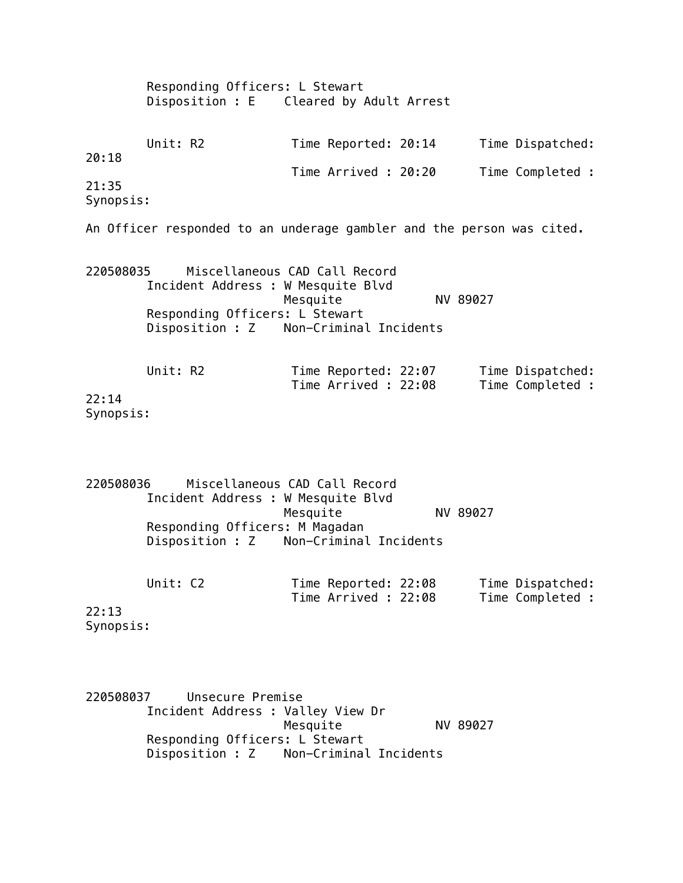|                    | Responding Officers: L Stewart<br>Disposition : E Cleared by Adult Arrest                                      |                                                                     |          |                                      |  |  |  |
|--------------------|----------------------------------------------------------------------------------------------------------------|---------------------------------------------------------------------|----------|--------------------------------------|--|--|--|
| 20:18              | Unit: R2                                                                                                       | Time Reported: 20:14                                                |          | Time Dispatched:                     |  |  |  |
| 21:35<br>Synopsis: |                                                                                                                | Time Arrived : 20:20                                                |          | Time Completed :                     |  |  |  |
|                    | An Officer responded to an underage gambler and the person was cited.                                          |                                                                     |          |                                      |  |  |  |
| 220508035          | Incident Address : W Mesquite Blvd<br>Responding Officers: L Stewart<br>Disposition : Z Non-Criminal Incidents | Miscellaneous CAD Call Record<br>Mesquite                           | NV 89027 |                                      |  |  |  |
| 22:14<br>Synopsis: | Unit: R2                                                                                                       | Time Reported: 22:07<br>Time Arrived : 22:08                        |          | Time Dispatched:<br>Time Completed : |  |  |  |
| 220508036          | Incident Address : W Mesquite Blvd<br>Responding Officers: M Magadan<br>Disposition : Z                        | Miscellaneous CAD Call Record<br>Mesquite<br>Non-Criminal Incidents | NV 89027 |                                      |  |  |  |
| 22:13<br>Synopsis: | Unit: C2                                                                                                       | Time Reported: 22:08<br>Time Arrived: 22:08                         |          | Time Dispatched:<br>Time Completed : |  |  |  |

220508037 Unsecure Premise Incident Address : Valley View Dr Mesquite NV 89027 Responding Officers: L Stewart Disposition : Z Non-Criminal Incidents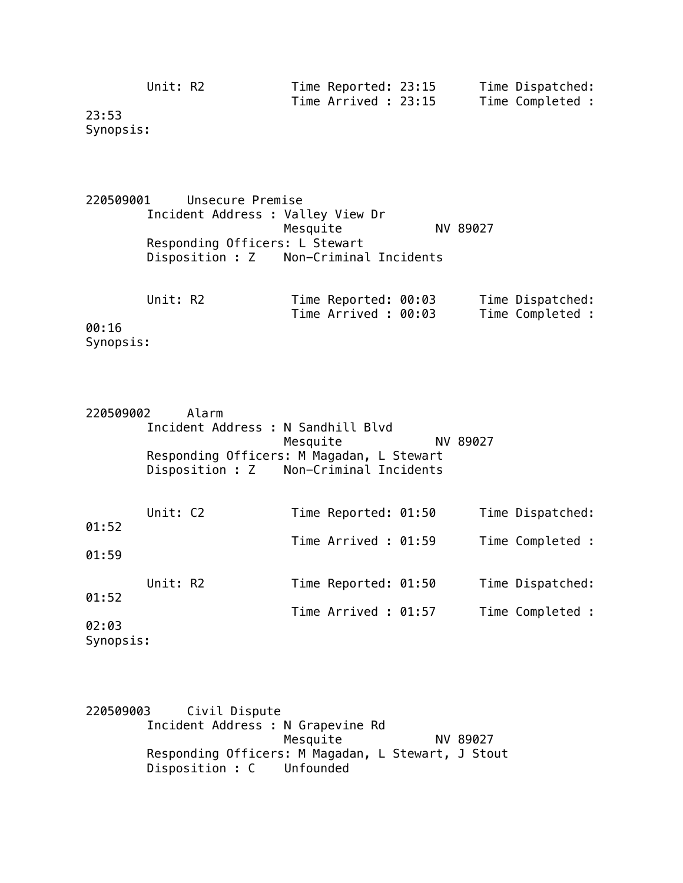| Unit: R2 | Time Reported: 23:15 | Time Dispatched: |
|----------|----------------------|------------------|
|          | Time Arrived : 23:15 | Time Completed : |

23:53 Synopsis:

220509001 Unsecure Premise Incident Address : Valley View Dr Mesquite NV 89027 Responding Officers: L Stewart Disposition : Z Non-Criminal Incidents

|        | Unit: R2 |  | Time Reported: 00:03 |  | Time Dispatched: |  |
|--------|----------|--|----------------------|--|------------------|--|
|        |          |  | Time Arrived : 00:03 |  | Time Completed : |  |
| 00:16  |          |  |                      |  |                  |  |
| $\sim$ |          |  |                      |  |                  |  |

Synopsis:

| 220509002 |          | Alarm |                                           |          |                  |
|-----------|----------|-------|-------------------------------------------|----------|------------------|
|           |          |       | Incident Address : N Sandhill Blvd        |          |                  |
|           |          |       | Mesquite                                  | NV 89027 |                  |
|           |          |       | Responding Officers: M Magadan, L Stewart |          |                  |
|           |          |       | Disposition : Z Non-Criminal Incidents    |          |                  |
|           |          |       |                                           |          |                  |
|           |          |       |                                           |          |                  |
|           | Unit: C2 |       | Time Reported: 01:50                      |          | Time Dispatched: |
| 01:52     |          |       |                                           |          |                  |
|           |          |       | Time Arrived : 01:59                      |          | Time Completed : |
| 01:59     |          |       |                                           |          |                  |
|           |          |       |                                           |          |                  |
|           | Unit: R2 |       | Time Reported: 01:50                      |          | Time Dispatched: |
| 01:52     |          |       |                                           |          |                  |
|           |          |       | Time Arrived : 01:57                      |          | Time Completed : |
| 02:03     |          |       |                                           |          |                  |
|           |          |       |                                           |          |                  |
| Synopsis: |          |       |                                           |          |                  |

220509003 Civil Dispute Incident Address : N Grapevine Rd Mesquite NV 89027 Responding Officers: M Magadan, L Stewart, J Stout Disposition : C Unfounded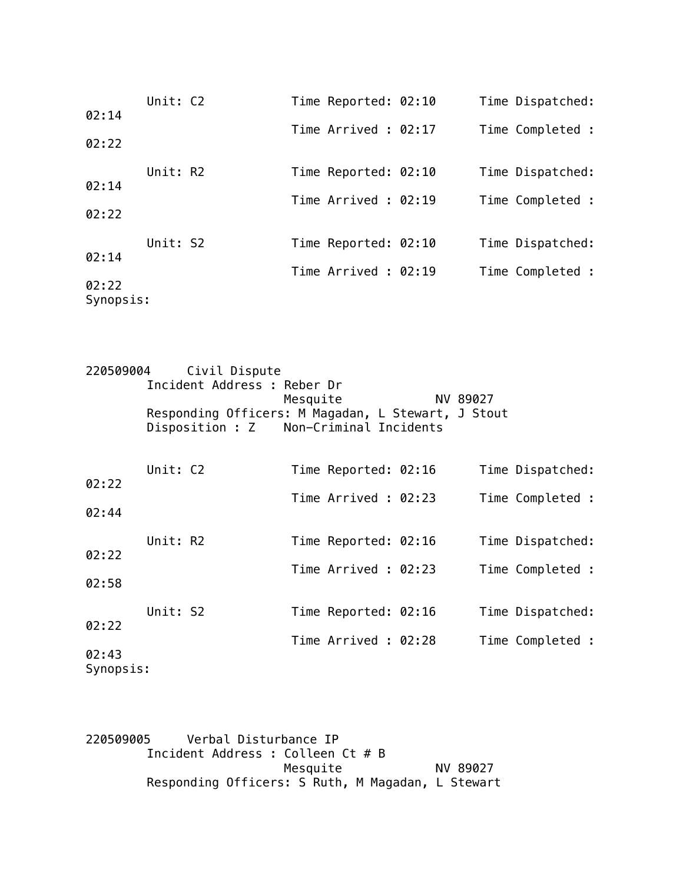|                    | Unit: C2 | Time Reported: 02:10 | Time Dispatched: |
|--------------------|----------|----------------------|------------------|
| 02:14              |          | Time Arrived: 02:17  | Time Completed : |
| 02:22              |          |                      |                  |
|                    | Unit: R2 | Time Reported: 02:10 | Time Dispatched: |
| 02:14              |          | Time Arrived: 02:19  | Time Completed : |
| 02:22              |          |                      |                  |
|                    | Unit: S2 | Time Reported: 02:10 | Time Dispatched: |
| 02:14              |          | Time Arrived: 02:19  | Time Completed : |
| 02:22<br>Synopsis: |          |                      |                  |

| 220509004 |          | Civil Dispute                                      |                      |  |          |                  |
|-----------|----------|----------------------------------------------------|----------------------|--|----------|------------------|
|           |          | Incident Address : Reber Dr                        |                      |  |          |                  |
|           |          |                                                    | Mesquite             |  | NV 89027 |                  |
|           |          | Responding Officers: M Magadan, L Stewart, J Stout |                      |  |          |                  |
|           |          | Disposition : Z Non-Criminal Incidents             |                      |  |          |                  |
|           |          |                                                    |                      |  |          |                  |
|           | Unit: C2 |                                                    | Time Reported: 02:16 |  |          | Time Dispatched: |
| 02:22     |          |                                                    |                      |  |          |                  |
| 02:44     |          |                                                    | Time Arrived: 02:23  |  |          | Time Completed : |
|           |          |                                                    |                      |  |          |                  |
|           | Unit: R2 |                                                    | Time Reported: 02:16 |  |          | Time Dispatched: |
| 02:22     |          |                                                    | Time Arrived: 02:23  |  |          |                  |
| 02:58     |          |                                                    |                      |  |          | Time Completed : |
|           |          |                                                    |                      |  |          |                  |
|           | Unit: S2 |                                                    | Time Reported: 02:16 |  |          | Time Dispatched: |
| 02:22     |          |                                                    | Time Arrived : 02:28 |  |          | Time Completed : |
| 02:43     |          |                                                    |                      |  |          |                  |
| Synopsis: |          |                                                    |                      |  |          |                  |

220509005 Verbal Disturbance IP Incident Address : Colleen Ct # B Mesquite NV 89027 Responding Officers: S Ruth, M Magadan, L Stewart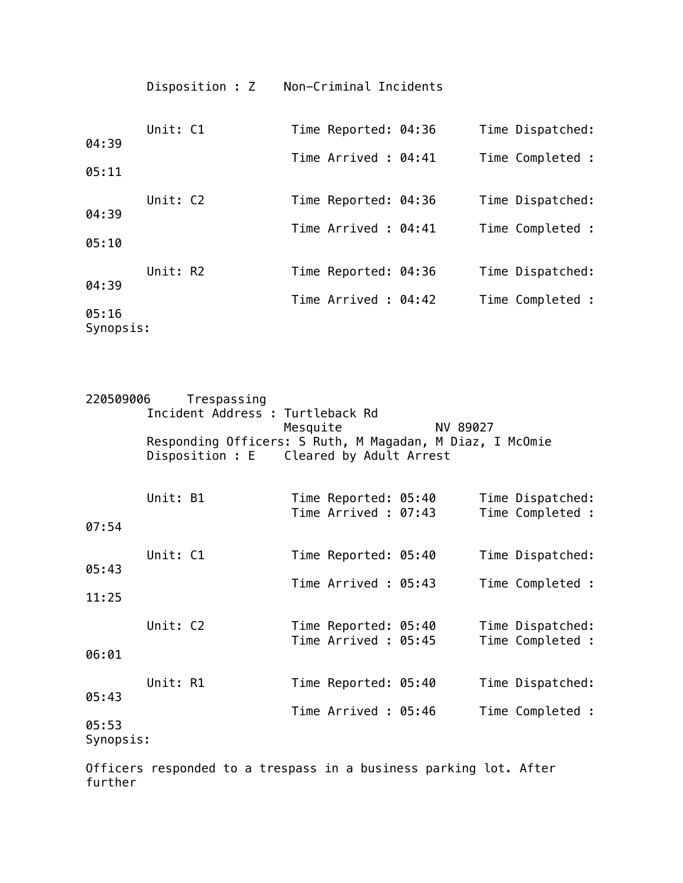|                    | Disposition : Z | Non-Criminal Incidents |                  |
|--------------------|-----------------|------------------------|------------------|
| 04:39              | Unit: C1        | Time Reported: 04:36   | Time Dispatched: |
|                    |                 | Time Arrived: 04:41    | Time Completed : |
| 05:11              |                 |                        |                  |
|                    | Unit: C2        | Time Reported: 04:36   | Time Dispatched: |
| 04:39<br>05:10     |                 | Time Arrived : 04:41   | Time Completed : |
| 04:39              | Unit: R2        | Time Reported: 04:36   | Time Dispatched: |
| 05:16<br>Synopsis: |                 | Time Arrived: 04:42    | Time Completed : |

| 220509006                   |          | Trespassing<br>Incident Address : Turtleback Rd<br>Responding Officers: S Ruth, M Magadan, M Diaz, I McOmie<br>Disposition : E Cleared by Adult Arrest | Mesquite |                                              | NV 89027 |                                      |
|-----------------------------|----------|--------------------------------------------------------------------------------------------------------------------------------------------------------|----------|----------------------------------------------|----------|--------------------------------------|
| 07:54                       | Unit: B1 |                                                                                                                                                        |          | Time Reported: 05:40<br>Time Arrived : 07:43 |          | Time Dispatched:<br>Time Completed : |
| 05:43<br>11:25              | Unit: C1 |                                                                                                                                                        |          | Time Reported: 05:40<br>Time Arrived: 05:43  |          | Time Dispatched:<br>Time Completed : |
| 06:01                       | Unit: C2 |                                                                                                                                                        |          | Time Reported: 05:40<br>Time Arrived : 05:45 |          | Time Dispatched:<br>Time Completed : |
| 05:43<br>05:53<br>Synopsis: | Unit: R1 |                                                                                                                                                        |          | Time Reported: 05:40<br>Time Arrived: 05:46  |          | Time Dispatched:<br>Time Completed : |

Officers responded to a trespass in a business parking lot. After further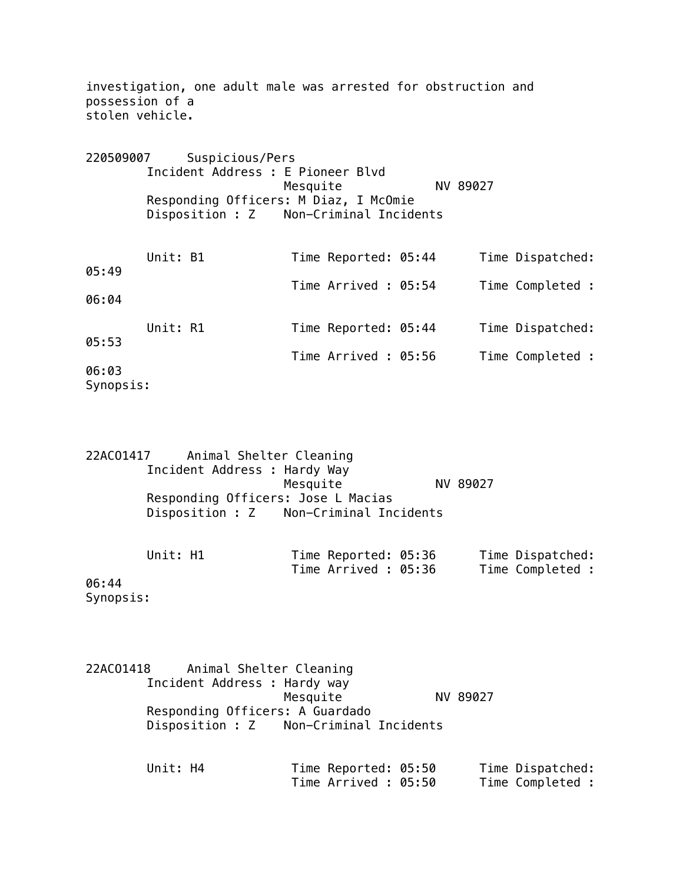| possession of a<br>stolen vehicle. |          | investigation, one adult male was arrested for obstruction and                                                                          |                      |  |          |                  |
|------------------------------------|----------|-----------------------------------------------------------------------------------------------------------------------------------------|----------------------|--|----------|------------------|
| 220509007                          |          | Suspicious/Pers<br>Incident Address : E Pioneer Blyd<br>Responding Officers: M Diaz, I McOmie<br>Disposition : Z Non-Criminal Incidents | Mesquite             |  | NV 89027 |                  |
| 05:49                              | Unit: B1 |                                                                                                                                         | Time Reported: 05:44 |  |          | Time Dispatched: |
| 06:04                              |          |                                                                                                                                         | Time Arrived : 05:54 |  |          | Time Completed : |
| 05:53                              | Unit: R1 |                                                                                                                                         | Time Reported: 05:44 |  |          | Time Dispatched: |
| 06:03<br>Synopsis:                 |          |                                                                                                                                         | Time Arrived : 05:56 |  |          | Time Completed : |

22ACO1417 Animal Shelter Cleaning Incident Address : Hardy Way Mesquite NV 89027 Responding Officers: Jose L Macias Disposition : Z Non-Criminal Incidents

| Unit: H1 | Time Reported: 05:36 | Time Dispatched: |
|----------|----------------------|------------------|
|          | Time Arrived : 05:36 | Time Completed : |
|          |                      |                  |

06:44 Synopsis:

22ACO1418 Animal Shelter Cleaning Incident Address : Hardy way Mesquite NV 89027 Responding Officers: A Guardado Disposition : Z Non-Criminal Incidents

| Unit: H4 | Time Reported: 05:50 | Time Dispatched: |
|----------|----------------------|------------------|
|          | Time Arrived : 05:50 | Time Completed : |